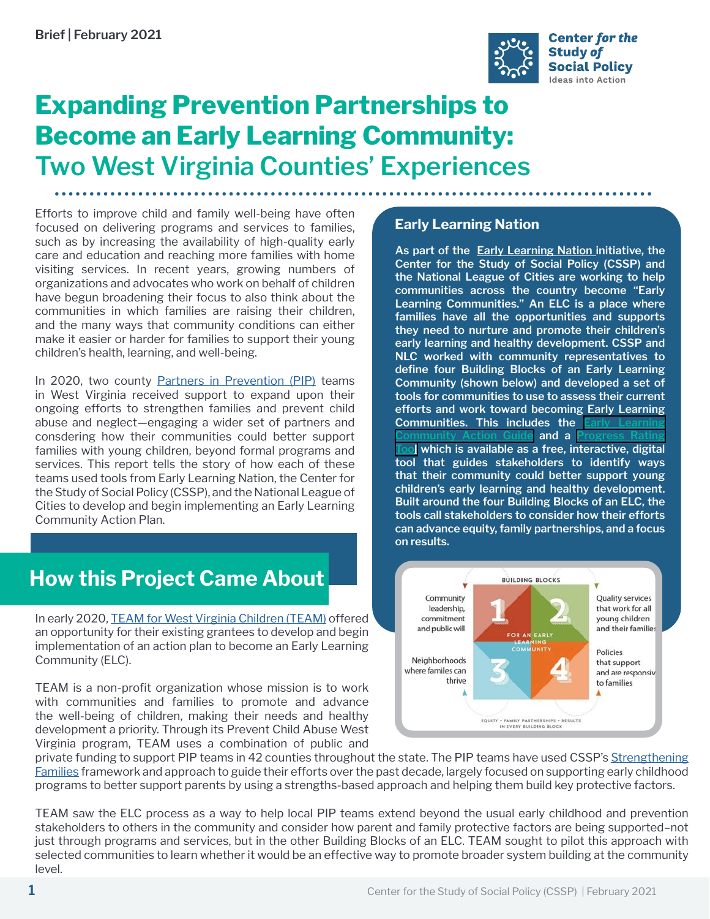

# **Expanding Prevention Partnerships to Become an Early Learning Community: Two West Virginia Counties' Experiences**

Efforts to improve child and family well-being have often focused on delivering programs and services to families, such as by increasing the availability of high-quality early care and education and reaching more families with home visiting services. In recent years, growing numbers of organizations and advocates who work on behalf of children have begun broadening their focus to also think about the communities in which families are raising their children, and the many ways that community conditions can either make it easier or harder for families to support their young children's health, learning, and well-being.

In 2020, two county [Partners in Prevention \(PIP\)](https://teamwv.org/prevent-child-abuse-wv-landing/partners-in-prevention/) teams in West Virginia received support to expand upon their ongoing efforts to strengthen families and prevent child abuse and neglect—engaging a wider set of partners and consdering how their communities could better support families with young children, beyond formal programs and services. This report tells the story of how each of these teams used tools from Early Learning Nation, the Center for the Study of Social Policy (CSSP), and the National League of Cities to develop and begin implementing an Early Learning Community Action Plan.

## **How this Project Came About**

In early 2020, [TEAM for West Virginia Children \(TEAM\)](C:\Users\Judith.Meltzer\AppData\Local\Microsoft\Windows\INetCache\Content.Outlook\J45520AS\teamwv.org) offered an opportunity for their existing grantees to develop and begin implementation of an action plan to become an Early Learning Community (ELC).

TEAM is a non-profit organization whose mission is to work with communities and families to promote and advance the well-being of children, making their needs and healthy development a priority. Through its Prevent Child Abuse West Virginia program, TEAM uses a combination of public and

#### **Early Learning Nation**

**As part of the [Early Learning Nation](http://www.earlylearningnation.com/) initiative, the Center for the Study of Social Policy (CSSP) and the National League of Cities are working to help communities across the country become "Early Learning Communities." An ELC is a place where families have all the opportunities and supports they need to nurture and promote their children's early learning and healthy development. CSSP and NLC worked with community representatives to define four Building Blocks of an Early Learning Community (shown below) and developed a set of tools for communities to use to assess their current efforts and work toward becoming Early Learning Communities. This includes the** and a **[Tool](https://progressratingtool.earlylearningnation.com/) which is available as a free, interactive, digital tool that guides stakeholders to identify ways that their community could better support young children's early learning and healthy development. Built around the four Building Blocks of an ELC, the tools call stakeholders to consider how their efforts can advance equity, family partnerships, and a focus on results.**



private funding to support PIP teams in 42 counties throughout the state. The PIP teams have used CSSP's [Strengthening](http://www.strengtheningfamilies.net/) [Families](http://www.strengtheningfamilies.net/) framework and approach to guide their efforts over the past decade, largely focused on supporting early childhood programs to better support parents by using a strengths-based approach and helping them build key protective factors.

TEAM saw the ELC process as a way to help local PIP teams extend beyond the usual early childhood and prevention stakeholders to others in the community and consider how parent and family protective factors are being supported–not just through programs and services, but in the other Building Blocks of an ELC. TEAM sought to pilot this approach with selected communities to learn whether it would be an effective way to promote broader system building at the community level.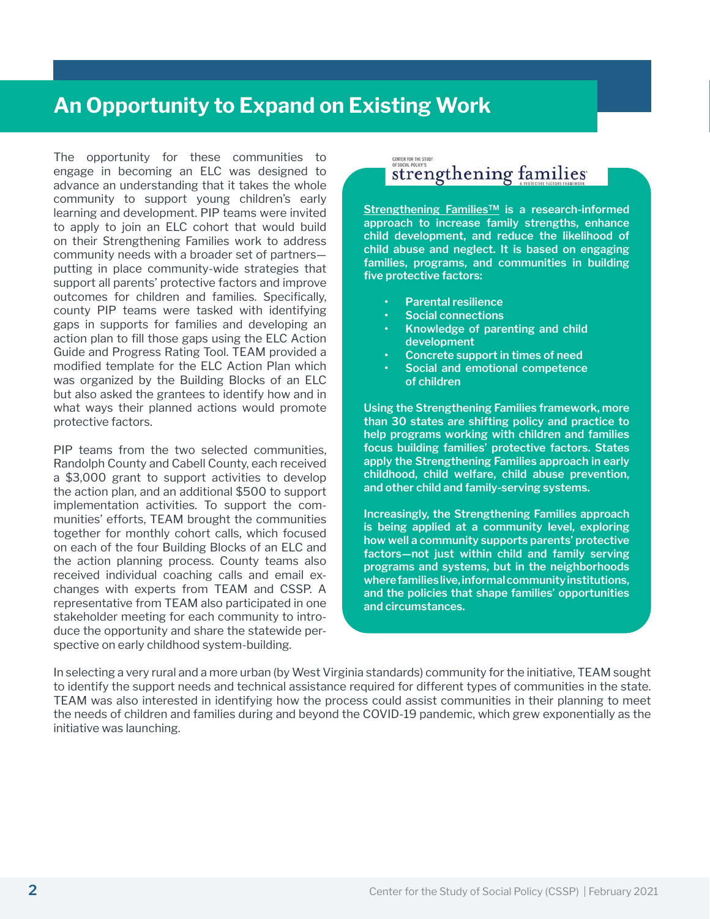### **An Opportunity to Expand on Existing Work**

The opportunity for these communities to engage in becoming an ELC was designed to advance an understanding that it takes the whole community to support young children's early learning and development. PIP teams were invited to apply to join an ELC cohort that would build on their Strengthening Families work to address community needs with a broader set of partners putting in place community-wide strategies that support all parents' protective factors and improve outcomes for children and families. Specifically, county PIP teams were tasked with identifying gaps in supports for families and developing an action plan to fill those gaps using the ELC Action Guide and Progress Rating Tool. TEAM provided a modified template for the ELC Action Plan which was organized by the Building Blocks of an ELC but also asked the grantees to identify how and in what ways their planned actions would promote protective factors.

PIP teams from the two selected communities, Randolph County and Cabell County, each received a \$3,000 grant to support activities to develop the action plan, and an additional \$500 to support implementation activities. To support the communities' efforts, TEAM brought the communities together for monthly cohort calls, which focused on each of the four Building Blocks of an ELC and the action planning process. County teams also received individual coaching calls and email exchanges with experts from TEAM and CSSP. A representative from TEAM also participated in one stakeholder meeting for each community to introduce the opportunity and share the statewide perspective on early childhood system-building.

#### CENTER FOR THE STUDY<br>OF SOCIAL POLICY'S strengthening families

**[Strengthening Families™](http://www.strengtheningfamilies.net/) is a research-informed approach to increase family strengths, enhance child development, and reduce the likelihood of child abuse and neglect. It is based on engaging families, programs, and communities in building five protective factors:**

- **• Parental resilience**
- **• Social connections**
- **• Knowledge of parenting and child development**
- **• Concrete support in times of need**
- **• Social and emotional competence of children**

**Using the Strengthening Families framework, more than 30 states are shifting policy and practice to help programs working with children and families focus building families' protective factors. States apply the Strengthening Families approach in early childhood, child welfare, child abuse prevention, and other child and family-serving systems.** 

**Increasingly, the Strengthening Families approach is being applied at a community level, exploring how well a community supports parents' protective factors—not just within child and family serving programs and systems, but in the neighborhoods where families live, informal community institutions, and the policies that shape families' opportunities and circumstances.** 

In selecting a very rural and a more urban (by West Virginia standards) community for the initiative, TEAM sought to identify the support needs and technical assistance required for different types of communities in the state. TEAM was also interested in identifying how the process could assist communities in their planning to meet the needs of children and families during and beyond the COVID-19 pandemic, which grew exponentially as the initiative was launching.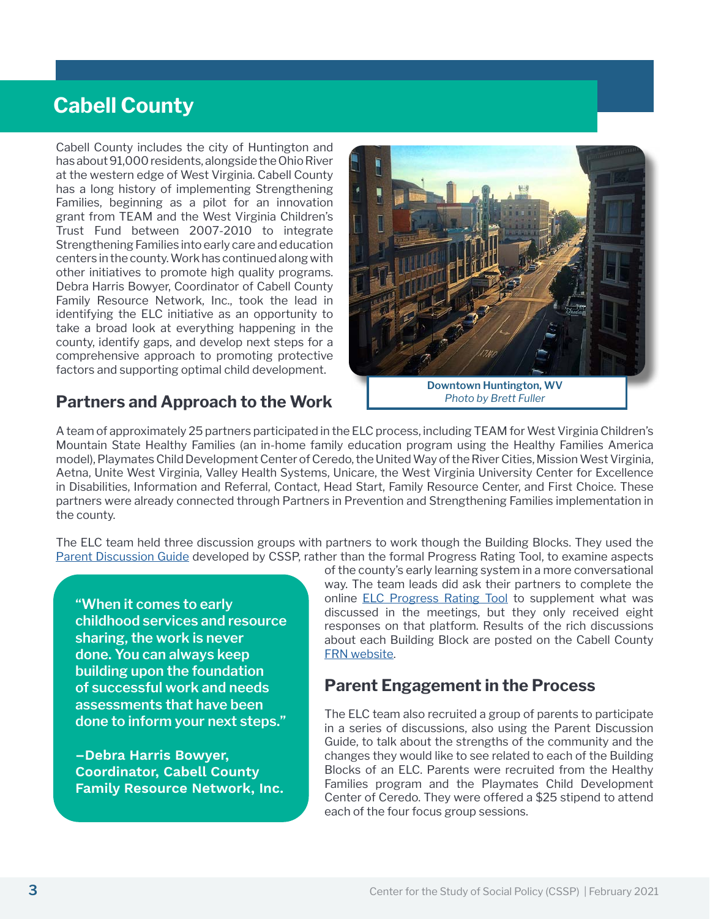## **Cabell County**

Cabell County includes the city of Huntington and has about 91,000 residents, alongside the Ohio River at the western edge of West Virginia. Cabell County has a long history of implementing Strengthening Families, beginning as a pilot for an innovation grant from TEAM and the West Virginia Children's Trust Fund between 2007-2010 to integrate Strengthening Families into early care and education centers in the county. Work has continued along with other initiatives to promote high quality programs. Debra Harris Bowyer, Coordinator of Cabell County Family Resource Network, Inc., took the lead in identifying the ELC initiative as an opportunity to take a broad look at everything happening in the county, identify gaps, and develop next steps for a comprehensive approach to promoting protective factors and supporting optimal child development.

### **Partners and Approach to the Work**

**Downtown Huntington, WV**  *Photo by Brett Fuller*

A team of approximately 25 partners participated in the ELC process, including TEAM for West Virginia Children's Mountain State Healthy Families (an in-home family education program using the Healthy Families America model), Playmates Child Development Center of Ceredo, the United Way of the River Cities, Mission West Virginia, Aetna, Unite West Virginia, Valley Health Systems, Unicare, the West Virginia University Center for Excellence in Disabilities, Information and Referral, Contact, Head Start, Family Resource Center, and First Choice. These partners were already connected through Partners in Prevention and Strengthening Families implementation in the county.

The ELC team held three discussion groups with partners to work though the Building Blocks. They used the [Parent Discussion Guide](https://cssp.org/wp-content/uploads/2018/07/ELN-Parent-Discussion-Guide.pdf) developed by CSSP, rather than the formal Progress Rating Tool, to examine aspects

**"When it comes to early childhood services and resource sharing, the work is never done. You can always keep building upon the foundation of successful work and needs assessments that have been done to inform your next steps."**

**–Debra Harris Bowyer, Coordinator, Cabell County Family Resource Network, Inc.** of the county's early learning system in a more conversational way. The team leads did ask their partners to complete the online [ELC Progress Rating Tool](https://progressratingtool.earlylearningnation.com/) to supplement what was discussed in the meetings, but they only received eight responses on that platform. Results of the rich discussions about each Building Block are posted on the Cabell County [FRN website](http://www.cabellfrn.org/2020/11/04/early-learning-community-information/).

#### **Parent Engagement in the Process**

The ELC team also recruited a group of parents to participate in a series of discussions, also using the Parent Discussion Guide, to talk about the strengths of the community and the changes they would like to see related to each of the Building Blocks of an ELC. Parents were recruited from the Healthy Families program and the Playmates Child Development Center of Ceredo. They were offered a \$25 stipend to attend each of the four focus group sessions.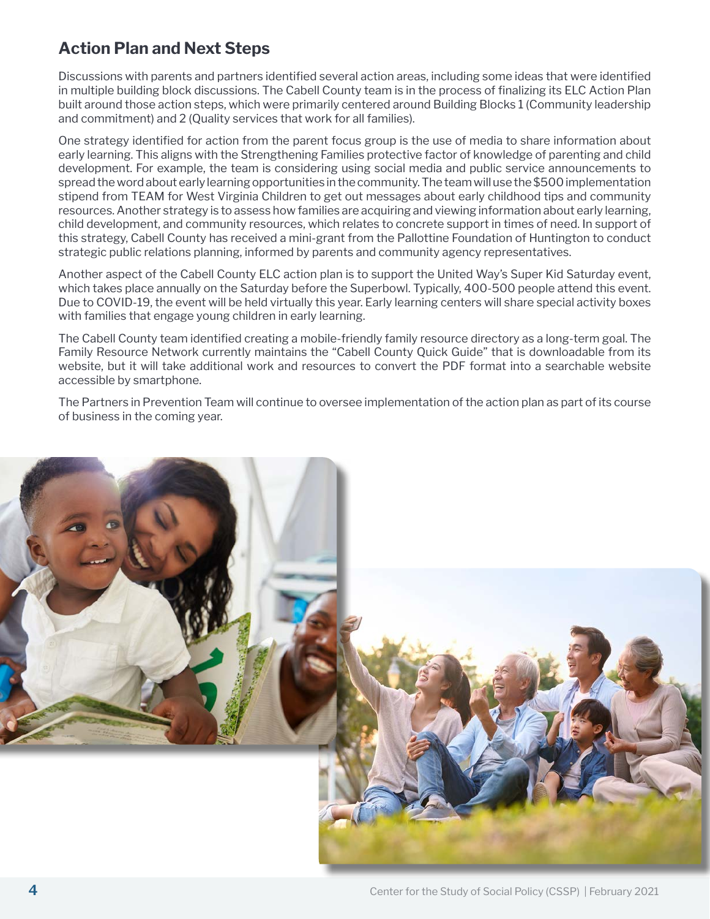### **Action Plan and Next Steps**

Discussions with parents and partners identified several action areas, including some ideas that were identified in multiple building block discussions. The Cabell County team is in the process of finalizing its ELC Action Plan built around those action steps, which were primarily centered around Building Blocks 1 (Community leadership and commitment) and 2 (Quality services that work for all families).

One strategy identified for action from the parent focus group is the use of media to share information about early learning. This aligns with the Strengthening Families protective factor of knowledge of parenting and child development. For example, the team is considering using social media and public service announcements to spread the word about early learning opportunities in the community. The team will use the \$500 implementation stipend from TEAM for West Virginia Children to get out messages about early childhood tips and community resources. Another strategy is to assess how families are acquiring and viewing information about early learning, child development, and community resources, which relates to concrete support in times of need. In support of this strategy, Cabell County has received a mini-grant from the Pallottine Foundation of Huntington to conduct strategic public relations planning, informed by parents and community agency representatives.

Another aspect of the Cabell County ELC action plan is to support the United Way's Super Kid Saturday event, which takes place annually on the Saturday before the Superbowl. Typically, 400-500 people attend this event. Due to COVID-19, the event will be held virtually this year. Early learning centers will share special activity boxes with families that engage young children in early learning.

The Cabell County team identified creating a mobile-friendly family resource directory as a long-term goal. The Family Resource Network currently maintains the "Cabell County Quick Guide" that is downloadable from its website, but it will take additional work and resources to convert the PDF format into a searchable website accessible by smartphone.

The Partners in Prevention Team will continue to oversee implementation of the action plan as part of its course of business in the coming year.

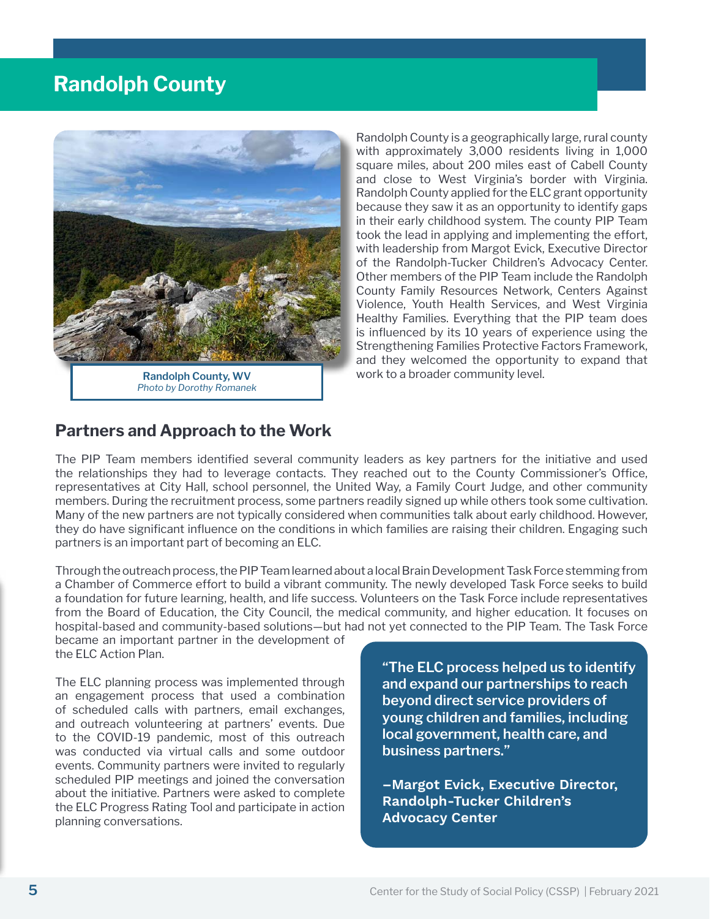### **Randolph County**



*Photo by Dorothy Romanek*

Randolph County is a geographically large, rural county with approximately 3,000 residents living in 1,000 square miles, about 200 miles east of Cabell County and close to West Virginia's border with Virginia. Randolph County applied for the ELC grant opportunity because they saw it as an opportunity to identify gaps in their early childhood system. The county PIP Team took the lead in applying and implementing the effort, with leadership from Margot Evick, Executive Director of the Randolph-Tucker Children's Advocacy Center. Other members of the PIP Team include the Randolph County Family Resources Network, Centers Against Violence, Youth Health Services, and West Virginia Healthy Families. Everything that the PIP team does is influenced by its 10 years of experience using the Strengthening Families Protective Factors Framework, and they welcomed the opportunity to expand that work to a broader community level.

#### **Partners and Approach to the Work**

The PIP Team members identified several community leaders as key partners for the initiative and used the relationships they had to leverage contacts. They reached out to the County Commissioner's Office, representatives at City Hall, school personnel, the United Way, a Family Court Judge, and other community members. During the recruitment process, some partners readily signed up while others took some cultivation. Many of the new partners are not typically considered when communities talk about early childhood. However, they do have significant influence on the conditions in which families are raising their children. Engaging such partners is an important part of becoming an ELC.

Through the outreach process, the PIP Team learned about a local Brain Development Task Force stemming from a Chamber of Commerce effort to build a vibrant community. The newly developed Task Force seeks to build a foundation for future learning, health, and life success. Volunteers on the Task Force include representatives from the Board of Education, the City Council, the medical community, and higher education. It focuses on hospital-based and community-based solutions—but had not yet connected to the PIP Team. The Task Force

became an important partner in the development of the ELC Action Plan.

The ELC planning process was implemented through an engagement process that used a combination of scheduled calls with partners, email exchanges, and outreach volunteering at partners' events. Due to the COVID-19 pandemic, most of this outreach was conducted via virtual calls and some outdoor events. Community partners were invited to regularly scheduled PIP meetings and joined the conversation about the initiative. Partners were asked to complete the ELC Progress Rating Tool and participate in action planning conversations.

**"The ELC process helped us to identify and expand our partnerships to reach beyond direct service providers of young children and families, including local government, health care, and business partners."** 

**–Margot Evick, Executive Director, Randolph-Tucker Children's Advocacy Center**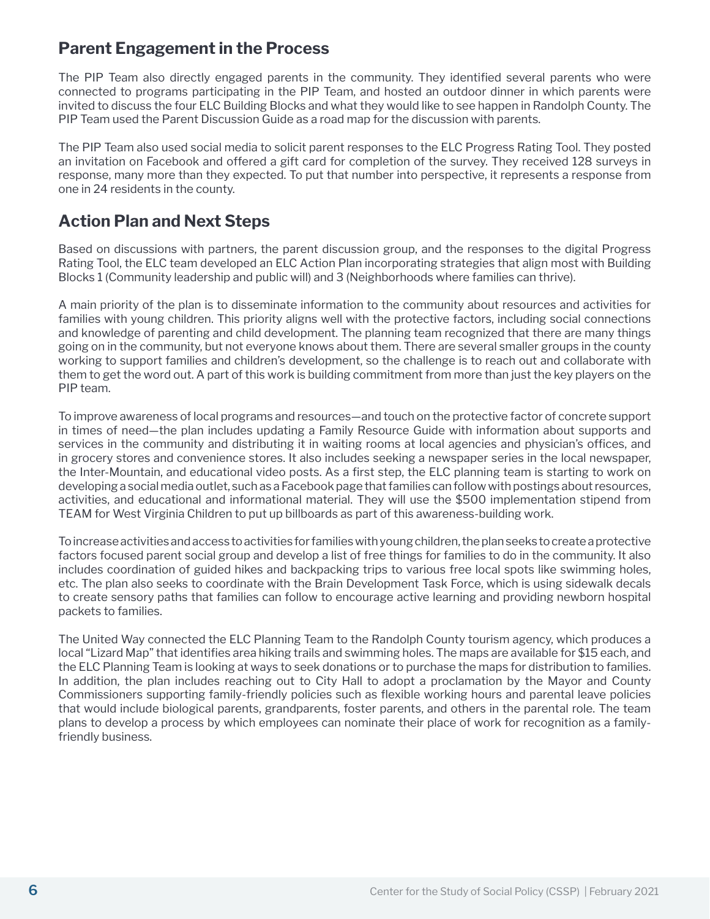#### **Parent Engagement in the Process**

The PIP Team also directly engaged parents in the community. They identified several parents who were connected to programs participating in the PIP Team, and hosted an outdoor dinner in which parents were invited to discuss the four ELC Building Blocks and what they would like to see happen in Randolph County. The PIP Team used the Parent Discussion Guide as a road map for the discussion with parents.

The PIP Team also used social media to solicit parent responses to the ELC Progress Rating Tool. They posted an invitation on Facebook and offered a gift card for completion of the survey. They received 128 surveys in response, many more than they expected. To put that number into perspective, it represents a response from one in 24 residents in the county.

### **Action Plan and Next Steps**

Based on discussions with partners, the parent discussion group, and the responses to the digital Progress Rating Tool, the ELC team developed an ELC Action Plan incorporating strategies that align most with Building Blocks 1 (Community leadership and public will) and 3 (Neighborhoods where families can thrive).

A main priority of the plan is to disseminate information to the community about resources and activities for families with young children. This priority aligns well with the protective factors, including social connections and knowledge of parenting and child development. The planning team recognized that there are many things going on in the community, but not everyone knows about them. There are several smaller groups in the county working to support families and children's development, so the challenge is to reach out and collaborate with them to get the word out. A part of this work is building commitment from more than just the key players on the PIP team.

To improve awareness of local programs and resources—and touch on the protective factor of concrete support in times of need—the plan includes updating a Family Resource Guide with information about supports and services in the community and distributing it in waiting rooms at local agencies and physician's offices, and in grocery stores and convenience stores. It also includes seeking a newspaper series in the local newspaper, the Inter-Mountain, and educational video posts. As a first step, the ELC planning team is starting to work on developing a social media outlet, such as a Facebook page that families can follow with postings about resources, activities, and educational and informational material. They will use the \$500 implementation stipend from TEAM for West Virginia Children to put up billboards as part of this awareness-building work.

To increase activities and access to activities for families with young children, the plan seeks to create a protective factors focused parent social group and develop a list of free things for families to do in the community. It also includes coordination of guided hikes and backpacking trips to various free local spots like swimming holes, etc. The plan also seeks to coordinate with the Brain Development Task Force, which is using sidewalk decals to create sensory paths that families can follow to encourage active learning and providing newborn hospital packets to families.

The United Way connected the ELC Planning Team to the Randolph County tourism agency, which produces a local "Lizard Map" that identifies area hiking trails and swimming holes. The maps are available for \$15 each, and the ELC Planning Team is looking at ways to seek donations or to purchase the maps for distribution to families. In addition, the plan includes reaching out to City Hall to adopt a proclamation by the Mayor and County Commissioners supporting family-friendly policies such as flexible working hours and parental leave policies that would include biological parents, grandparents, foster parents, and others in the parental role. The team plans to develop a process by which employees can nominate their place of work for recognition as a familyfriendly business.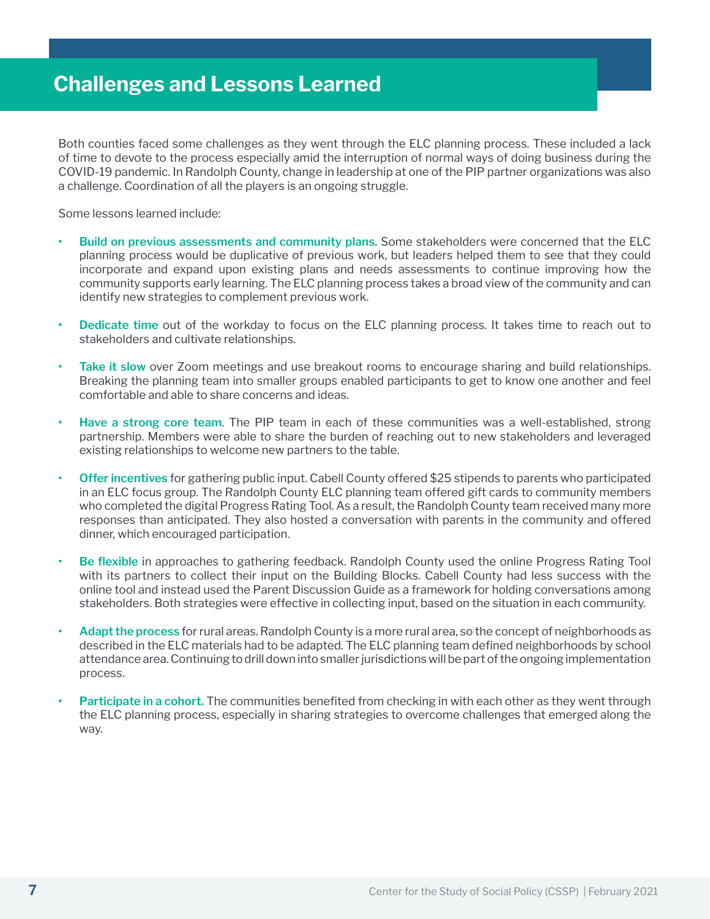Both counties faced some challenges as they went through the ELC planning process. These included a lack of time to devote to the process especially amid the interruption of normal ways of doing business during the COVID-19 pandemic. In Randolph County, change in leadership at one of the PIP partner organizations was also a challenge. Coordination of all the players is an ongoing struggle.

Some lessons learned include:

- **• Build on previous assessments and community plans.** Some stakeholders were concerned that the ELC planning process would be duplicative of previous work, but leaders helped them to see that they could incorporate and expand upon existing plans and needs assessments to continue improving how the community supports early learning. The ELC planning process takes a broad view of the community and can identify new strategies to complement previous work.
- **• Dedicate time** out of the workday to focus on the ELC planning process. It takes time to reach out to stakeholders and cultivate relationships.
- **• Take it slow** over Zoom meetings and use breakout rooms to encourage sharing and build relationships. Breaking the planning team into smaller groups enabled participants to get to know one another and feel comfortable and able to share concerns and ideas.
- **• Have a strong core team**. The PIP team in each of these communities was a well-established, strong partnership. Members were able to share the burden of reaching out to new stakeholders and leveraged existing relationships to welcome new partners to the table.
- **• Offer incentives** for gathering public input. Cabell County offered \$25 stipends to parents who participated in an ELC focus group. The Randolph County ELC planning team offered gift cards to community members who completed the digital Progress Rating Tool. As a result, the Randolph County team received many more responses than anticipated. They also hosted a conversation with parents in the community and offered dinner, which encouraged participation.
- **• Be flexible** in approaches to gathering feedback. Randolph County used the online Progress Rating Tool with its partners to collect their input on the Building Blocks. Cabell County had less success with the online tool and instead used the Parent Discussion Guide as a framework for holding conversations among stakeholders. Both strategies were effective in collecting input, based on the situation in each community.
- **• Adapt the process** for rural areas. Randolph County is a more rural area, so the concept of neighborhoods as described in the ELC materials had to be adapted. The ELC planning team defined neighborhoods by school attendance area. Continuing to drill down into smaller jurisdictions will be part of the ongoing implementation process.
- **• Participate in a cohort.** The communities benefited from checking in with each other as they went through the ELC planning process, especially in sharing strategies to overcome challenges that emerged along the way.